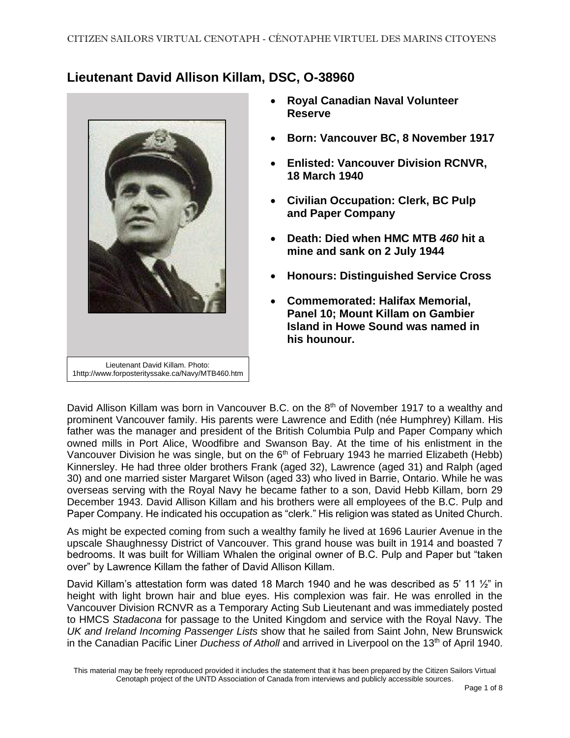## **Lieutenant David Allison Killam, DSC, O-38960**



- **Royal Canadian Naval Volunteer Reserve**
- **Born: Vancouver BC, 8 November 1917**
- **Enlisted: Vancouver Division RCNVR, 18 March 1940**
- **Civilian Occupation: Clerk, BC Pulp and Paper Company**
- **Death: Died when HMC MTB** *460* **hit a mine and sank on 2 July 1944**
- **Honours: Distinguished Service Cross**
- **Commemorated: Halifax Memorial, Panel 10; Mount Killam on Gambier Island in Howe Sound was named in his hounour.**

David Allison Killam was born in Vancouver B.C. on the 8<sup>th</sup> of November 1917 to a wealthy and prominent Vancouver family. His parents were Lawrence and Edith (née Humphrey) Killam. His father was the manager and president of the British Columbia Pulp and Paper Company which owned mills in Port Alice, Woodfibre and Swanson Bay. At the time of his enlistment in the Vancouver Division he was single, but on the  $6<sup>th</sup>$  of February 1943 he married Elizabeth (Hebb) Kinnersley. He had three older brothers Frank (aged 32), Lawrence (aged 31) and Ralph (aged 30) and one married sister Margaret Wilson (aged 33) who lived in Barrie, Ontario. While he was overseas serving with the Royal Navy he became father to a son, David Hebb Killam, born 29 December 1943. David Allison Killam and his brothers were all employees of the B.C. Pulp and Paper Company. He indicated his occupation as "clerk." His religion was stated as United Church.

As might be expected coming from such a wealthy family he lived at 1696 Laurier Avenue in the upscale Shaughnessy District of Vancouver. This grand house was built in 1914 and boasted 7 bedrooms. It was built for William Whalen the original owner of B.C. Pulp and Paper but "taken over" by Lawrence Killam the father of David Allison Killam.

David Killam's attestation form was dated 18 March 1940 and he was described as 5' 11 1/<sub>2</sub>" in height with light brown hair and blue eyes. His complexion was fair. He was enrolled in the Vancouver Division RCNVR as a Temporary Acting Sub Lieutenant and was immediately posted to HMCS *Stadacona* for passage to the United Kingdom and service with the Royal Navy. The *UK and Ireland Incoming Passenger Lists* show that he sailed from Saint John, New Brunswick in the Canadian Pacific Liner *Duchess of Atholl* and arrived in Liverpool on the 13<sup>th</sup> of April 1940.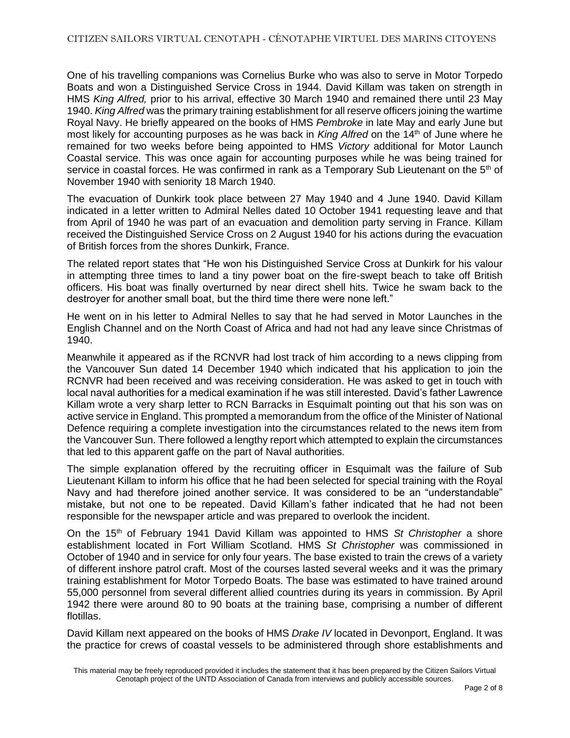One of his travelling companions was Cornelius Burke who was also to serve in Motor Torpedo Boats and won a Distinguished Service Cross in 1944. David Killam was taken on strength in HMS *King Alfred,* prior to his arrival, effective 30 March 1940 and remained there until 23 May 1940. *King Alfred* was the primary training establishment for all reserve officers joining the wartime Royal Navy. He briefly appeared on the books of HMS *Pembroke* in late May and early June but most likely for accounting purposes as he was back in *King Alfred* on the 14th of June where he remained for two weeks before being appointed to HMS *Victory* additional for Motor Launch Coastal service. This was once again for accounting purposes while he was being trained for service in coastal forces. He was confirmed in rank as a Temporary Sub Lieutenant on the  $5<sup>th</sup>$  of November 1940 with seniority 18 March 1940.

The evacuation of Dunkirk took place between 27 May 1940 and 4 June 1940. David Killam indicated in a letter written to Admiral Nelles dated 10 October 1941 requesting leave and that from April of 1940 he was part of an evacuation and demolition party serving in France. Killam received the Distinguished Service Cross on 2 August 1940 for his actions during the evacuation of British forces from the shores Dunkirk, France.

The related report states that "He won his Distinguished Service Cross at Dunkirk for his valour in attempting three times to land a tiny power boat on the fire-swept beach to take off British officers. His boat was finally overturned by near direct shell hits. Twice he swam back to the destroyer for another small boat, but the third time there were none left."

He went on in his letter to Admiral Nelles to say that he had served in Motor Launches in the English Channel and on the North Coast of Africa and had not had any leave since Christmas of 1940.

Meanwhile it appeared as if the RCNVR had lost track of him according to a news clipping from the Vancouver Sun dated 14 December 1940 which indicated that his application to join the RCNVR had been received and was receiving consideration. He was asked to get in touch with local naval authorities for a medical examination if he was still interested. David's father Lawrence Killam wrote a very sharp letter to RCN Barracks in Esquimalt pointing out that his son was on active service in England. This prompted a memorandum from the office of the Minister of National Defence requiring a complete investigation into the circumstances related to the news item from the Vancouver Sun. There followed a lengthy report which attempted to explain the circumstances that led to this apparent gaffe on the part of Naval authorities.

The simple explanation offered by the recruiting officer in Esquimalt was the failure of Sub Lieutenant Killam to inform his office that he had been selected for special training with the Royal Navy and had therefore joined another service. It was considered to be an "understandable" mistake, but not one to be repeated. David Killam's father indicated that he had not been responsible for the newspaper article and was prepared to overlook the incident.

On the 15th of February 1941 David Killam was appointed to HMS *St Christopher* a shore establishment located in Fort William Scotland. HMS *St Christopher* was commissioned in October of 1940 and in service for only four years. The base existed to train the crews of a variety of different inshore patrol craft. Most of the courses lasted several weeks and it was the primary training establishment for Motor Torpedo Boats. The base was estimated to have trained around 55,000 personnel from several different allied countries during its years in commission. By April 1942 there were around 80 to 90 boats at the training base, comprising a number of different flotillas.

David Killam next appeared on the books of HMS *Drake IV* located in Devonport, England. It was the practice for crews of coastal vessels to be administered through shore establishments and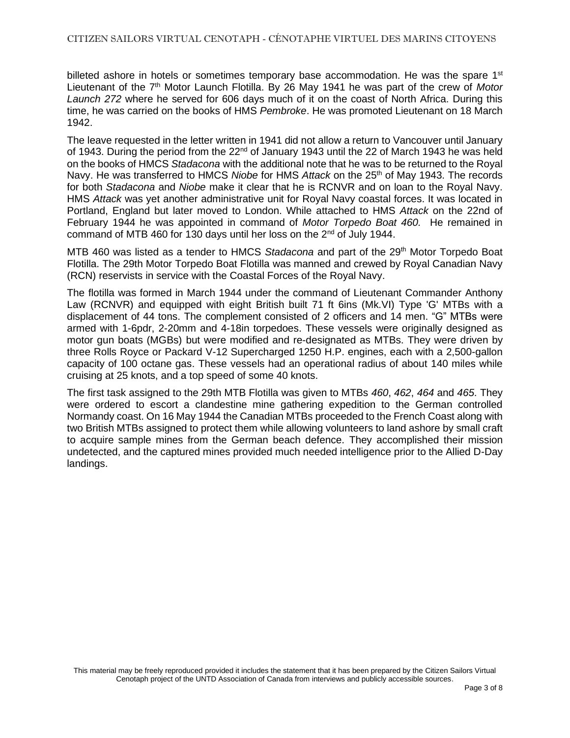billeted ashore in hotels or sometimes temporary base accommodation. He was the spare  $1<sup>st</sup>$ Lieutenant of the 7th Motor Launch Flotilla. By 26 May 1941 he was part of the crew of *Motor Launch 272* where he served for 606 days much of it on the coast of North Africa. During this time, he was carried on the books of HMS *Pembroke*. He was promoted Lieutenant on 18 March 1942.

The leave requested in the letter written in 1941 did not allow a return to Vancouver until January of 1943. During the period from the  $22<sup>nd</sup>$  of January 1943 until the 22 of March 1943 he was held on the books of HMCS *Stadacona* with the additional note that he was to be returned to the Royal Navy. He was transferred to HMCS *Niobe* for HMS *Attack* on the 25th of May 1943. The records for both *Stadacona* and *Niobe* make it clear that he is RCNVR and on loan to the Royal Navy. HMS *Attack* was yet another administrative unit for Royal Navy coastal forces. It was located in Portland, England but later moved to London. While attached to HMS *Attack* on the 22nd of February 1944 he was appointed in command of *Motor Torpedo Boat 460.* He remained in command of MTB 460 for 130 days until her loss on the 2nd of July 1944.

MTB 460 was listed as a tender to HMCS Stadacona and part of the 29<sup>th</sup> Motor Torpedo Boat Flotilla. The 29th Motor Torpedo Boat Flotilla was manned and crewed by Royal Canadian Navy (RCN) reservists in service with the Coastal Forces of the Royal Navy.

The flotilla was formed in March 1944 under the command of Lieutenant Commander Anthony Law (RCNVR) and equipped with eight British built 71 ft 6ins (Mk.VI) Type 'G' MTBs with a displacement of 44 tons. The complement consisted of 2 officers and 14 men. "G" MTBs were armed with 1-6pdr, 2-20mm and 4-18in torpedoes. These vessels were originally designed as motor gun boats (MGBs) but were modified and re-designated as MTBs. They were driven by three Rolls Royce or Packard V-12 Supercharged 1250 H.P. engines, each with a 2,500-gallon capacity of 100 octane gas. These vessels had an operational radius of about 140 miles while cruising at 25 knots, and a top speed of some 40 knots.

The first task assigned to the 29th MTB Flotilla was given to MTBs *460*, *462*, *464* and *465*. They were ordered to escort a clandestine mine gathering expedition to the German controlled Normandy coast. On 16 May 1944 the Canadian MTBs proceeded to the French Coast along with two British MTBs assigned to protect them while allowing volunteers to land ashore by small craft to acquire sample mines from the German beach defence. They accomplished their mission undetected, and the captured mines provided much needed intelligence prior to the Allied D-Day landings.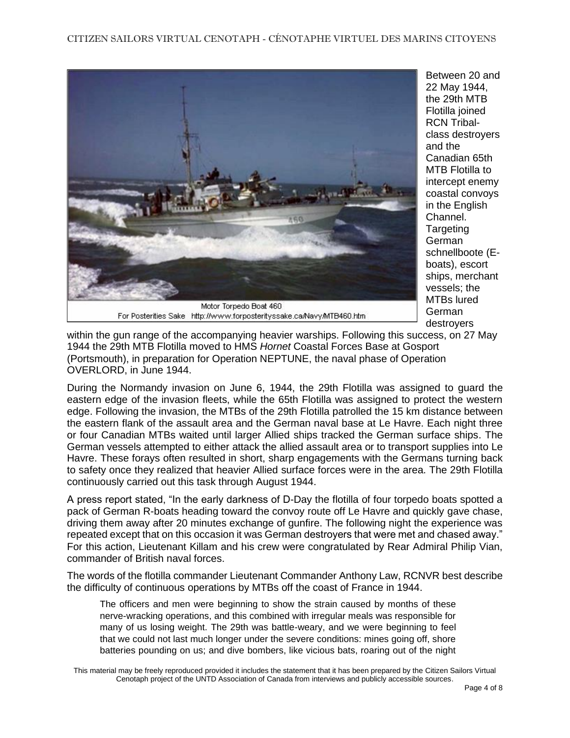

Between 20 and 22 May 1944, the 29th MTB Flotilla joined RCN Tribalclass destroyers and the Canadian 65th MTB Flotilla to intercept enemy coastal convoys in the English Channel. Targeting German schnellboote (Eboats), escort ships, merchant vessels; the MTBs lured German destroyers

within the gun range of the accompanying heavier warships. Following this success, on 27 May 1944 the 29th MTB Flotilla moved to HMS *Hornet* Coastal Forces Base at Gosport (Portsmouth), in preparation for Operation NEPTUNE, the naval phase of Operation OVERLORD, in June 1944.

During the Normandy invasion on June 6, 1944, the 29th Flotilla was assigned to guard the eastern edge of the invasion fleets, while the 65th Flotilla was assigned to protect the western edge. Following the invasion, the MTBs of the 29th Flotilla patrolled the 15 km distance between the eastern flank of the assault area and the German naval base at Le Havre. Each night three or four Canadian MTBs waited until larger Allied ships tracked the German surface ships. The German vessels attempted to either attack the allied assault area or to transport supplies into Le Havre. These forays often resulted in short, sharp engagements with the Germans turning back to safety once they realized that heavier Allied surface forces were in the area. The 29th Flotilla continuously carried out this task through August 1944.

A press report stated, "In the early darkness of D-Day the flotilla of four torpedo boats spotted a pack of German R-boats heading toward the convoy route off Le Havre and quickly gave chase, driving them away after 20 minutes exchange of gunfire. The following night the experience was repeated except that on this occasion it was German destroyers that were met and chased away." For this action, Lieutenant Killam and his crew were congratulated by Rear Admiral Philip Vian, commander of British naval forces.

The words of the flotilla commander Lieutenant Commander Anthony Law, RCNVR best describe the difficulty of continuous operations by MTBs off the coast of France in 1944.

The officers and men were beginning to show the strain caused by months of these nerve-wracking operations, and this combined with irregular meals was responsible for many of us losing weight. The 29th was battle-weary, and we were beginning to feel that we could not last much longer under the severe conditions: mines going off, shore batteries pounding on us; and dive bombers, like vicious bats, roaring out of the night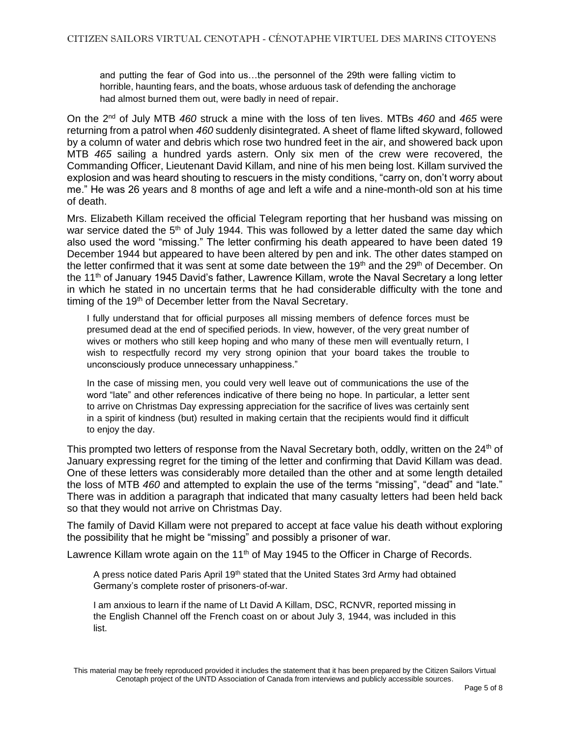and putting the fear of God into us…the personnel of the 29th were falling victim to horrible, haunting fears, and the boats, whose arduous task of defending the anchorage had almost burned them out, were badly in need of repair.

On the 2nd of July MTB *460* struck a mine with the loss of ten lives. MTBs *460* and *465* were returning from a patrol when *460* suddenly disintegrated. A sheet of flame lifted skyward, followed by a column of water and debris which rose two hundred feet in the air, and showered back upon MTB *465* sailing a hundred yards astern. Only six men of the crew were recovered, the Commanding Officer, Lieutenant David Killam, and nine of his men being lost. Killam survived the explosion and was heard shouting to rescuers in the misty conditions, "carry on, don't worry about me." He was 26 years and 8 months of age and left a wife and a nine-month-old son at his time of death.

Mrs. Elizabeth Killam received the official Telegram reporting that her husband was missing on war service dated the 5<sup>th</sup> of July 1944. This was followed by a letter dated the same day which also used the word "missing." The letter confirming his death appeared to have been dated 19 December 1944 but appeared to have been altered by pen and ink. The other dates stamped on the letter confirmed that it was sent at some date between the 19<sup>th</sup> and the 29<sup>th</sup> of December. On the 11th of January 1945 David's father, Lawrence Killam, wrote the Naval Secretary a long letter in which he stated in no uncertain terms that he had considerable difficulty with the tone and timing of the 19<sup>th</sup> of December letter from the Naval Secretary.

I fully understand that for official purposes all missing members of defence forces must be presumed dead at the end of specified periods. In view, however, of the very great number of wives or mothers who still keep hoping and who many of these men will eventually return, I wish to respectfully record my very strong opinion that your board takes the trouble to unconsciously produce unnecessary unhappiness."

In the case of missing men, you could very well leave out of communications the use of the word "late" and other references indicative of there being no hope. In particular, a letter sent to arrive on Christmas Day expressing appreciation for the sacrifice of lives was certainly sent in a spirit of kindness (but) resulted in making certain that the recipients would find it difficult to enjoy the day.

This prompted two letters of response from the Naval Secretary both, oddly, written on the 24<sup>th</sup> of January expressing regret for the timing of the letter and confirming that David Killam was dead. One of these letters was considerably more detailed than the other and at some length detailed the loss of MTB *460* and attempted to explain the use of the terms "missing", "dead" and "late." There was in addition a paragraph that indicated that many casualty letters had been held back so that they would not arrive on Christmas Day.

The family of David Killam were not prepared to accept at face value his death without exploring the possibility that he might be "missing" and possibly a prisoner of war.

Lawrence Killam wrote again on the  $11<sup>th</sup>$  of May 1945 to the Officer in Charge of Records.

A press notice dated Paris April 19<sup>th</sup> stated that the United States 3rd Army had obtained Germany's complete roster of prisoners-of-war.

I am anxious to learn if the name of Lt David A Killam, DSC, RCNVR, reported missing in the English Channel off the French coast on or about July 3, 1944, was included in this list.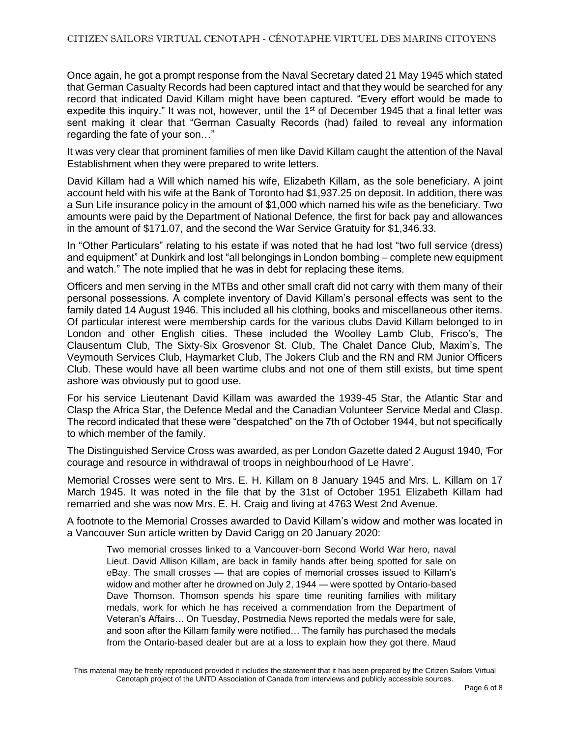Once again, he got a prompt response from the Naval Secretary dated 21 May 1945 which stated that German Casualty Records had been captured intact and that they would be searched for any record that indicated David Killam might have been captured. "Every effort would be made to expedite this inquiry." It was not, however, until the  $1<sup>st</sup>$  of December 1945 that a final letter was sent making it clear that "German Casualty Records (had) failed to reveal any information regarding the fate of your son…"

It was very clear that prominent families of men like David Killam caught the attention of the Naval Establishment when they were prepared to write letters.

David Killam had a Will which named his wife, Elizabeth Killam, as the sole beneficiary. A joint account held with his wife at the Bank of Toronto had \$1,937.25 on deposit. In addition, there was a Sun Life insurance policy in the amount of \$1,000 which named his wife as the beneficiary. Two amounts were paid by the Department of National Defence, the first for back pay and allowances in the amount of \$171.07, and the second the War Service Gratuity for \$1,346.33.

In "Other Particulars" relating to his estate if was noted that he had lost "two full service (dress) and equipment" at Dunkirk and lost "all belongings in London bombing – complete new equipment and watch." The note implied that he was in debt for replacing these items.

Officers and men serving in the MTBs and other small craft did not carry with them many of their personal possessions. A complete inventory of David Killam's personal effects was sent to the family dated 14 August 1946. This included all his clothing, books and miscellaneous other items. Of particular interest were membership cards for the various clubs David Killam belonged to in London and other English cities. These included the Woolley Lamb Club, Frisco's, The Clausentum Club, The Sixty-Six Grosvenor St. Club, The Chalet Dance Club, Maxim's, The Veymouth Services Club, Haymarket Club, The Jokers Club and the RN and RM Junior Officers Club. These would have all been wartime clubs and not one of them still exists, but time spent ashore was obviously put to good use.

For his service Lieutenant David Killam was awarded the 1939-45 Star, the Atlantic Star and Clasp the Africa Star, the Defence Medal and the Canadian Volunteer Service Medal and Clasp. The record indicated that these were "despatched" on the 7th of October 1944, but not specifically to which member of the family.

The Distinguished Service Cross was awarded, as per London Gazette dated 2 August 1940, *'*For courage and resource in withdrawal of troops in neighbourhood of Le Havre'.

Memorial Crosses were sent to Mrs. E. H. Killam on 8 January 1945 and Mrs. L. Killam on 17 March 1945. It was noted in the file that by the 31st of October 1951 Elizabeth Killam had remarried and she was now Mrs. E. H. Craig and living at 4763 West 2nd Avenue.

A footnote to the Memorial Crosses awarded to David Killam's widow and mother was located in a Vancouver Sun article written by David Carigg on 20 January 2020:

Two memorial crosses linked to a Vancouver-born Second World War hero, naval Lieut. David Allison Killam, are back in family hands after being spotted for sale on eBay. The small crosses — that are copies of memorial crosses issued to Killam's widow and mother after he drowned on July 2, 1944 — were spotted by Ontario-based Dave Thomson. Thomson spends his spare time reuniting families with military medals, work for which he has received a commendation from the Department of Veteran's Affairs… On Tuesday, Postmedia News reported the medals were for sale, and soon after the Killam family were notified… The family has purchased the medals from the Ontario-based dealer but are at a loss to explain how they got there. Maud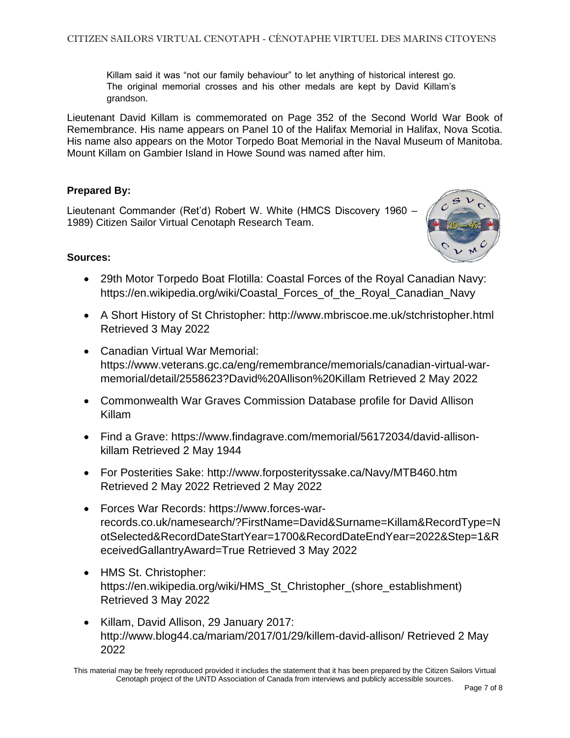Killam said it was "not our family behaviour" to let anything of historical interest go. The original memorial crosses and his other medals are kept by David Killam's grandson.

Lieutenant David Killam is commemorated on Page 352 of the Second World War Book of Remembrance. His name appears on Panel 10 of the Halifax Memorial in Halifax, Nova Scotia. His name also appears on the Motor Torpedo Boat Memorial in the Naval Museum of Manitoba. Mount Killam on Gambier Island in Howe Sound was named after him.

## **Prepared By:**

Lieutenant Commander (Ret'd) Robert W. White (HMCS Discovery 1960 – 1989) Citizen Sailor Virtual Cenotaph Research Team.



## **Sources:**

- 29th Motor Torpedo Boat Flotilla: Coastal Forces of the Royal Canadian Navy: https://en.wikipedia.org/wiki/Coastal\_Forces\_of\_the\_Royal\_Canadian\_Navy
- A Short History of St Christopher: http://www.mbriscoe.me.uk/stchristopher.html Retrieved 3 May 2022
- Canadian Virtual War Memorial: https://www.veterans.gc.ca/eng/remembrance/memorials/canadian-virtual-warmemorial/detail/2558623?David%20Allison%20Killam Retrieved 2 May 2022
- Commonwealth War Graves Commission Database profile for David Allison Killam
- Find a Grave: https://www.findagrave.com/memorial/56172034/david-allisonkillam Retrieved 2 May 1944
- For Posterities Sake: http://www.forposterityssake.ca/Navy/MTB460.htm Retrieved 2 May 2022 Retrieved 2 May 2022
- Forces War Records: https://www.forces-warrecords.co.uk/namesearch/?FirstName=David&Surname=Killam&RecordType=N otSelected&RecordDateStartYear=1700&RecordDateEndYear=2022&Step=1&R eceivedGallantryAward=True Retrieved 3 May 2022
- HMS St. Christopher: https://en.wikipedia.org/wiki/HMS\_St\_Christopher\_(shore\_establishment) Retrieved 3 May 2022
- Killam, David Allison, 29 January 2017: http://www.blog44.ca/mariam/2017/01/29/killem-david-allison/ Retrieved 2 May 2022